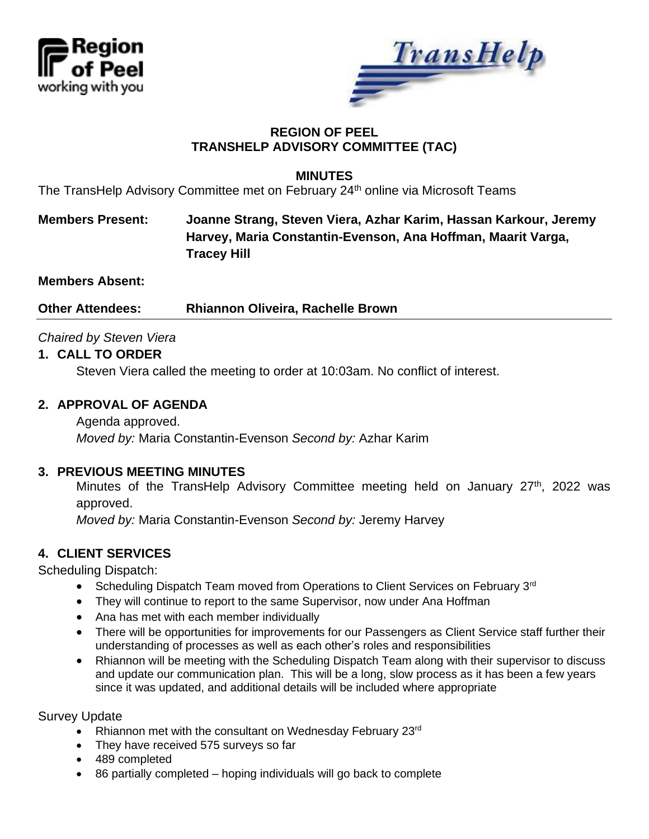



## **REGION OF PEEL TRANSHELP ADVISORY COMMITTEE (TAC)**

### **MINUTES**

The TransHelp Advisory Committee met on February 24<sup>th</sup> online via Microsoft Teams

# **Members Present: Joanne Strang, Steven Viera, Azhar Karim, Hassan Karkour, Jeremy Harvey, Maria Constantin-Evenson, Ana Hoffman, Maarit Varga, Tracey Hill**

**Members Absent:**

**Other Attendees: Rhiannon Oliveira, Rachelle Brown**

### *Chaired by Steven Viera*

### **1. CALL TO ORDER**

Steven Viera called the meeting to order at 10:03am. No conflict of interest.

### **2. APPROVAL OF AGENDA**

Agenda approved. *Moved by:* Maria Constantin-Evenson *Second by:* Azhar Karim

#### **3. PREVIOUS MEETING MINUTES**

Minutes of the TransHelp Advisory Committee meeting held on January 27<sup>th</sup>, 2022 was approved.

*Moved by:* Maria Constantin-Evenson *Second by:* Jeremy Harvey

### **4. CLIENT SERVICES**

Scheduling Dispatch:

- Scheduling Dispatch Team moved from Operations to Client Services on February 3<sup>rd</sup>
- They will continue to report to the same Supervisor, now under Ana Hoffman
- Ana has met with each member individually
- There will be opportunities for improvements for our Passengers as Client Service staff further their understanding of processes as well as each other's roles and responsibilities
- Rhiannon will be meeting with the Scheduling Dispatch Team along with their supervisor to discuss and update our communication plan. This will be a long, slow process as it has been a few years since it was updated, and additional details will be included where appropriate

Survey Update

- Rhiannon met with the consultant on Wednesday February 23rd
- They have received 575 surveys so far
- 489 completed
- 86 partially completed hoping individuals will go back to complete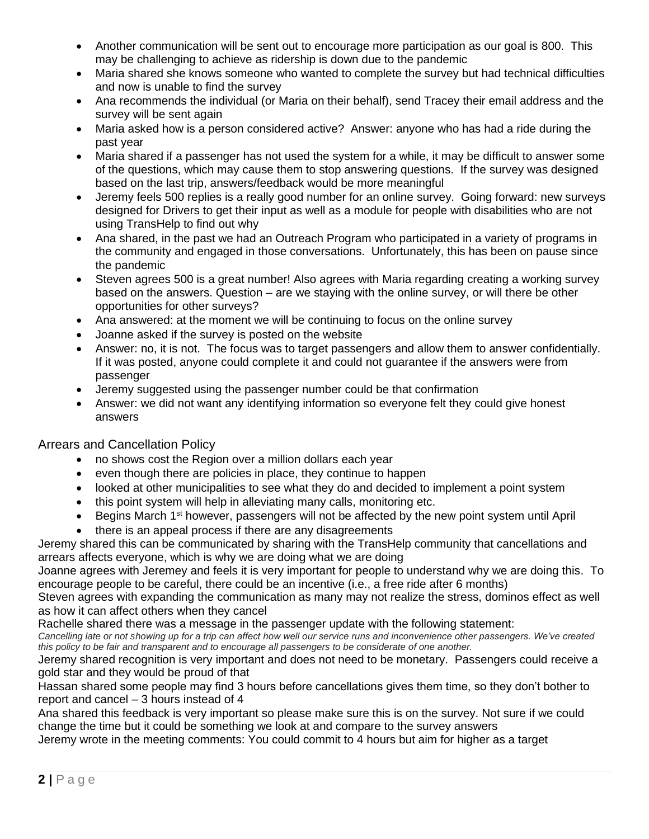- Another communication will be sent out to encourage more participation as our goal is 800. This may be challenging to achieve as ridership is down due to the pandemic
- Maria shared she knows someone who wanted to complete the survey but had technical difficulties and now is unable to find the survey
- Ana recommends the individual (or Maria on their behalf), send Tracey their email address and the survey will be sent again
- Maria asked how is a person considered active? Answer: anyone who has had a ride during the past year
- Maria shared if a passenger has not used the system for a while, it may be difficult to answer some of the questions, which may cause them to stop answering questions. If the survey was designed based on the last trip, answers/feedback would be more meaningful
- Jeremy feels 500 replies is a really good number for an online survey. Going forward: new surveys designed for Drivers to get their input as well as a module for people with disabilities who are not using TransHelp to find out why
- Ana shared, in the past we had an Outreach Program who participated in a variety of programs in the community and engaged in those conversations. Unfortunately, this has been on pause since the pandemic
- Steven agrees 500 is a great number! Also agrees with Maria regarding creating a working survey based on the answers. Question – are we staying with the online survey, or will there be other opportunities for other surveys?
- Ana answered: at the moment we will be continuing to focus on the online survey
- Joanne asked if the survey is posted on the website
- Answer: no, it is not. The focus was to target passengers and allow them to answer confidentially. If it was posted, anyone could complete it and could not guarantee if the answers were from passenger
- Jeremy suggested using the passenger number could be that confirmation
- Answer: we did not want any identifying information so everyone felt they could give honest answers

#### Arrears and Cancellation Policy

- no shows cost the Region over a million dollars each year
- even though there are policies in place, they continue to happen
- looked at other municipalities to see what they do and decided to implement a point system
- this point system will help in alleviating many calls, monitoring etc.
- Begins March 1<sup>st</sup> however, passengers will not be affected by the new point system until April
- there is an appeal process if there are any disagreements

Jeremy shared this can be communicated by sharing with the TransHelp community that cancellations and arrears affects everyone, which is why we are doing what we are doing

Joanne agrees with Jeremey and feels it is very important for people to understand why we are doing this. To encourage people to be careful, there could be an incentive (i.e., a free ride after 6 months)

Steven agrees with expanding the communication as many may not realize the stress, dominos effect as well as how it can affect others when they cancel

Rachelle shared there was a message in the passenger update with the following statement:

*Cancelling late or not showing up for a trip can affect how well our service runs and inconvenience other passengers. We've created this policy to be fair and transparent and to encourage all passengers to be considerate of one another.*

Jeremy shared recognition is very important and does not need to be monetary. Passengers could receive a gold star and they would be proud of that

Hassan shared some people may find 3 hours before cancellations gives them time, so they don't bother to report and cancel – 3 hours instead of 4

Ana shared this feedback is very important so please make sure this is on the survey. Not sure if we could change the time but it could be something we look at and compare to the survey answers

Jeremy wrote in the meeting comments: You could commit to 4 hours but aim for higher as a target